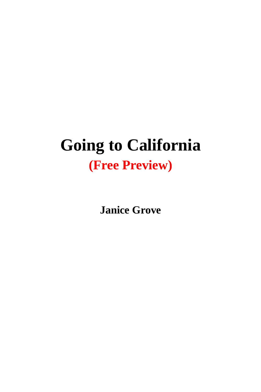## **Going to California (Free Preview)**

**Janice Grove**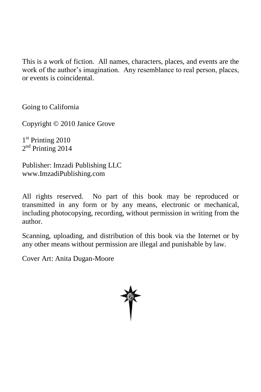This is a work of fiction. All names, characters, places, and events are the work of the author's imagination. Any resemblance to real person, places, or events is coincidental.

Going to California

Copyright © 2010 Janice Grove

1<sup>st</sup> Printing 2010 2<sup>nd</sup> Printing 2014

Publisher: Imzadi Publishing LLC www.ImzadiPublishing.com

All rights reserved. No part of this book may be reproduced or transmitted in any form or by any means, electronic or mechanical, including photocopying, recording, without permission in writing from the author.

Scanning, uploading, and distribution of this book via the Internet or by any other means without permission are illegal and punishable by law.

Cover Art: Anita Dugan-Moore

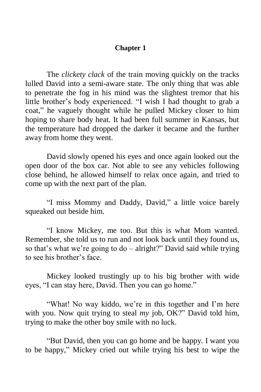## **Chapter 1**

The *clickety clack* of the train moving quickly on the tracks lulled David into a semi-aware state. The only thing that was able to penetrate the fog in his mind was the slightest tremor that his little brother's body experienced. "I wish I had thought to grab a coat," he vaguely thought while he pulled Mickey closer to him hoping to share body heat. It had been full summer in Kansas, but the temperature had dropped the darker it became and the further away from home they went.

David slowly opened his eyes and once again looked out the open door of the box car. Not able to see any vehicles following close behind, he allowed himself to relax once again, and tried to come up with the next part of the plan.

"I miss Mommy and Daddy, David," a little voice barely squeaked out beside him.

"I know Mickey, me too. But this is what Mom wanted. Remember, she told us to run and not look back until they found us, so that's what we're going to  $do - alright?"$  David said while trying to see his brother's face.

Mickey looked trustingly up to his big brother with wide eyes, "I can stay here, David. Then you can go home."

"What! No way kiddo, we're in this together and I'm here with you. Now quit trying to steal *my* job, OK?" David told him, trying to make the other boy smile with no luck.

"But David, then you can go home and be happy. I want you to be happy," Mickey cried out while trying his best to wipe the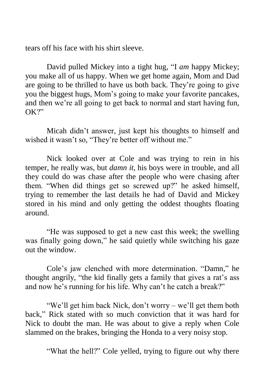tears off his face with his shirt sleeve.

David pulled Mickey into a tight hug, "I *am* happy Mickey; you make all of us happy. When we get home again, Mom and Dad are going to be thrilled to have us both back. They're going to give you the biggest hugs, Mom's going to make your favorite pancakes, and then we're all going to get back to normal and start having fun, OK?"

Micah didn't answer, just kept his thoughts to himself and wished it wasn't so, "They're better off without me."

Nick looked over at Cole and was trying to rein in his temper, he really was, but *damn it*, his boys were in trouble, and all they could do was chase after the people who were chasing after them. "When did things get so screwed up?" he asked himself, trying to remember the last details he had of David and Mickey stored in his mind and only getting the oddest thoughts floating around.

"He was supposed to get a new cast this week; the swelling was finally going down," he said quietly while switching his gaze out the window.

Cole's jaw clenched with more determination. "Damn," he thought angrily, "the kid finally gets a family that gives a rat's ass and now he's running for his life. Why can't he catch a break?"

"We'll get him back Nick, don't worry – we'll get them both back," Rick stated with so much conviction that it was hard for Nick to doubt the man. He was about to give a reply when Cole slammed on the brakes, bringing the Honda to a very noisy stop.

"What the hell?" Cole yelled, trying to figure out why there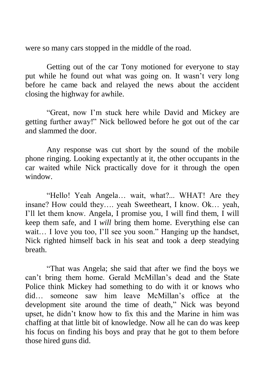were so many cars stopped in the middle of the road.

Getting out of the car Tony motioned for everyone to stay put while he found out what was going on. It wasn't very long before he came back and relayed the news about the accident closing the highway for awhile.

"Great, now I'm stuck here while David and Mickey are getting further away!" Nick bellowed before he got out of the car and slammed the door.

Any response was cut short by the sound of the mobile phone ringing. Looking expectantly at it, the other occupants in the car waited while Nick practically dove for it through the open window.

"Hello! Yeah Angela… wait, what?... WHAT! Are they insane? How could they…. yeah Sweetheart, I know. Ok… yeah, I'll let them know. Angela, I promise you, I will find them, I will keep them safe, and I *will* bring them home. Everything else can wait... I love you too, I'll see you soon." Hanging up the handset, Nick righted himself back in his seat and took a deep steadying breath.

"That was Angela; she said that after we find the boys we can't bring them home. Gerald McMillan's dead and the State Police think Mickey had something to do with it or knows who did… someone saw him leave McMillan's office at the development site around the time of death," Nick was beyond upset, he didn't know how to fix this and the Marine in him was chaffing at that little bit of knowledge. Now all he can do was keep his focus on finding his boys and pray that he got to them before those hired guns did.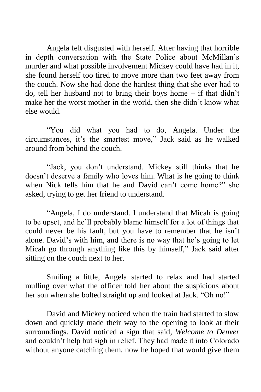Angela felt disgusted with herself. After having that horrible in depth conversation with the State Police about McMillan's murder and what possible involvement Mickey could have had in it, she found herself too tired to move more than two feet away from the couch. Now she had done the hardest thing that she ever had to do, tell her husband not to bring their boys home – if that didn't make her the worst mother in the world, then she didn't know what else would.

"You did what you had to do, Angela. Under the circumstances, it's the smartest move," Jack said as he walked around from behind the couch.

"Jack, you don't understand. Mickey still thinks that he doesn't deserve a family who loves him. What is he going to think when Nick tells him that he and David can't come home?" she asked, trying to get her friend to understand.

"Angela, I do understand. I understand that Micah is going to be upset, and he'll probably blame himself for a lot of things that could never be his fault, but you have to remember that he isn't alone. David's with him, and there is no way that he's going to let Micah go through anything like this by himself," Jack said after sitting on the couch next to her.

Smiling a little, Angela started to relax and had started mulling over what the officer told her about the suspicions about her son when she bolted straight up and looked at Jack. "Oh no!"

David and Mickey noticed when the train had started to slow down and quickly made their way to the opening to look at their surroundings. David noticed a sign that said, *Welcome to Denver* and couldn't help but sigh in relief. They had made it into Colorado without anyone catching them, now he hoped that would give them